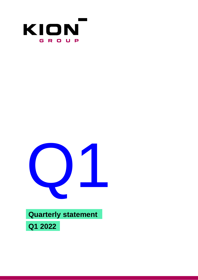



## **Quarterly statement**

**Q1 2022**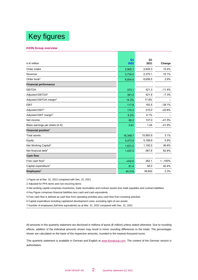# Key figures

#### **KION Group overview**

|                                           | Q <sub>1</sub> | Q <sub>1</sub> |           |
|-------------------------------------------|----------------|----------------|-----------|
| in $\epsilon$ million                     | 2022           | 2021           | Change    |
| Order intake                              | 2,900.1        | 2,626.3        | 10.4%     |
| Revenue                                   | 2,734.5        | 2,375.1        | 15.1%     |
| Order book $1$                            | 6,854.6        | 6,658.5        | 2.9%      |
| <b>Financial performance</b>              |                |                |           |
| <b>EBITDA</b>                             | 373.1          | 421.3          | $-11.4%$  |
| Adjusted EBITDA <sup>2</sup>              | 391.0          | 421.9          | $-7.3%$   |
| Adjusted EBITDA margin <sup>2</sup>       | 14.3%          | 17.8%          |           |
| <b>EBIT</b>                               | 117.8          | 193.5          | $-39.1%$  |
| Adjusted EBIT <sup>2</sup>                | 170.3          | 215.0          | $-20.8%$  |
| Adjusted EBIT margin <sup>2</sup>         | 6.2%           | 9.1%           |           |
| Net income                                | 80.2           | 137.0          | $-41.5%$  |
| Basic earnings per share (in $\epsilon$ ) | 0.61           | 1.04           | $-41.9%$  |
| Financial position <sup>1</sup>           |                |                |           |
| <b>Total assets</b>                       | 16,348.7       | 15,850.9       | 3.1%      |
| Equity                                    | 5,473.5        | 5,168.9        | 5.9%      |
| Net Working Capital <sup>3</sup>          | 1,631.0        | 1,192.0        | 36.8%     |
| Net financial debt <sup>4</sup>           | 1,037.5        | 567.6          | 82.8%     |
| <b>Cash flow</b>                          |                |                |           |
| Free cash flow <sup>5</sup>               | $-432.6$       | 262.1          | $< -100%$ |
| Capital expenditure <sup>6</sup>          | 81.4           | 58.0           | 40.4%     |
| Employees <sup>7</sup>                    | 40,519         | 39,602         | 2.3%      |

1 Figure as at Mar. 31, 2022 compared with Dec. 31, 2021

2 Adjusted for PPA items and non-recurring items

3 Net working capital comprises inventories, trade receivables and contract assets less trade payables and contract liabilities

4 Key Figure comprises financial liabilities less cash and cash equivalents

5 Free cash flow is defined as cash flow from operating activities plus cash flow from investing activities

6 Capital expenditure including capitalized development costs, excluding right-of-use assets

7 Number of employees (full-time equivalents) as at Mar. 31, 2022 compared with Dec. 31, 2021

All amounts in this quarterly statement are disclosed in millions of euros (€ million) unless stated otherwise. Due to rounding effects, addition of the individual amounts shown may result in minor rounding differences to the totals. The percentages shown are calculated on the basis of the respective amounts, rounded to the nearest thousand euros.

This quarterly statement is available in German and English at www.kiongroup.com. The content of the German version is authoritative.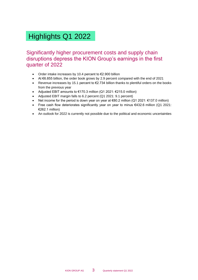# Highlights Q1 2022

Significantly higher procurement costs and supply chain disruptions depress the KION Group's earnings in the first quarter of 2022

- Order intake increases by 10.4 percent to €2.900 billion
- At €6.855 billion, the order book grows by 2.9 percent compared with the end of 2021
- Revenue increases by 15.1 percent to  $\epsilon$ 2.734 billion thanks to plentiful orders on the books from the previous year
- Adjusted EBIT amounts to  $\epsilon$ 170.3 million (Q1 2021:  $\epsilon$ 215.0 million)
- Adjusted EBIT margin falls to 6.2 percent (Q1 2021: 9.1 percent)
- Net income for the period is down year on year at  $€80.2$  million (Q1 2021:  $€137.0$  million)
- Free cash flow deteriorates significantly year on year to minus €432.6 million (Q1 2021: €262.1 million)
- An outlook for 2022 is currently not possible due to the political and economic uncertainties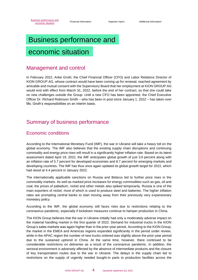# <span id="page-3-0"></span>Business performance and

## economic situation

### Management and control

In February 2022, Anke Groth, the Chief Financial Officer (CFO) and Labor Relations Director of KION GROUP AG, whose contract would have been coming up for renewal, reached agreement by amicable and mutual consent with the Supervisory Board that her employment at KION GROUP AG would end with effect from March 31, 2022, before the end of her contract, so that she could take on new challenges outside the Group. Until a new CFO has been appointed, the Chief Executive Officer Dr. Richard Robinson Smith – who has been in post since January 1, 2022 – has taken over Ms. Groth's responsibilities on an interim basis.

### Summary of business performance

### Economic conditions

According to the International Monetary Fund (IMF), the war in Ukraine will take a heavy toll on the global economy. The IMF also believes that the existing supply chain disruptions and continuing commodity and energy price rises will result in a significantly higher inflation rate. Based on its latest assessment dated April 19, 2022, the IMF anticipates global growth of just 3.6 percent along with an inflation rate of 5.7 percent for developed economies and 8.7 percent for emerging markets and developing countries. The IMF has thus once again updated its global growth target for 2022, which had stood at 4.4 percent in January 2022.

The internationally applicable sanctions on Russia and Belarus led to further price rises in the commodity markets. As well as marked price increases for energy commodities such as gas, oil and coal, the prices of palladium, nickel and other metals also spiked temporarily. Russia is one of the main exporters of nickel, most of which is used to produce steel and batteries. The higher inflation rates are prompting central banks to start moving away from their previously very expansionary monetary policy.

According to the IMF, the global economy still faces risks due to restrictions relating to the coronavirus pandemic, especially if lockdown measures continue to hamper production in China.

The KION Group believes that the war in Ukraine initially had only a moderately adverse impact on the material handling market in the first quarter of 2022. Demand for industrial trucks in the KION Group's sales markets was again higher than in the prior-year period. According to the KION Group, the market in the EMEA and Americas regions expanded significantly in the period under review, while in the APAC region the number of new trucks ordered was slightly above the prior-year period due to the sustained uptrend in China. At the same time, however, there continued to be considerable restrictions on deliveries as a result of the coronavirus pandemic. In addition, the sectoral environment is adversely affected by the absence of intermediate products and the closure of key transportation routes due to the war in Ukraine. The delays in the supply chain led to restrictions on the supply of urgently needed bought-in parts to production facilities across the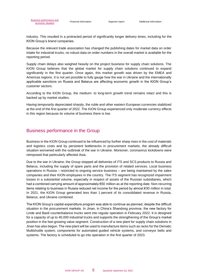industry. This resulted in a protracted period of significantly longer delivery times, including for the KION Group's brand companies.

Because the relevant trade association has changed the publishing dates for market data on order intake for industrial trucks, no robust data on order numbers in the overall market is available for the reporting period.

Supply chain delays also weighed heavily on the project business for supply chain solutions. The KION Group believes that the global market for supply chain solutions continued to expand significantly in the first quarter. Once again, this market growth was driven by the EMEA and Americas regions. It is not yet possible to fully gauge how the war in Ukraine and the internationally applicable sanctions on Russia and Belarus are affecting economic growth in the KION Group's customer sectors.

According to the KION Group, the medium- to long-term growth trend remains intact and this is backed up by market studies.

Having temporarily depreciated sharply, the ruble and other eastern European currencies stabilized at the end of the first quarter of 2022. The KION Group experienced only moderate currency effects in this region because its volume of business there is low.

#### Business performance in the Group

Business in the KION Group continued to be influenced by further sharp rises in the cost of materials and logistics costs and by persistent bottlenecks in procurement markets; the already difficult situation worsened with the outbreak of the war in Ukraine. Moreover, coronavirus lockdowns were reimposed that particularly affected Asia.

Due to the war in Ukraine, the Group stopped all deliveries of ITS and SCS products to Russia and Belarus, including the supply of spare parts and the provision of related services. Local business operations in Russia – restricted to ongoing service business – are being maintained by the sales companies and their KION employees in the country. The ITS segment has recognized impairment losses in a substantial volume, especially in respect of assets of the Russian subsidiaries, which had a combined carrying amount of approximately €50 million as at the reporting date. Non-recurring items relating to business in Russia reduced net income for the period by almost €30 million in total. In 2021, the KION Group generated less than 1 percent of its consolidated revenue in Russia, Belarus, and Ukraine combined.

The KION Group's capital expenditure program was able to continue as planned, despite the difficult situation in the procurement markets. In Jinan, in China's Shandong province, the new factory for Linde and Baoli counterbalance trucks went into regular operation in February 2022. It is designed for a capacity of up to 40,000 industrial trucks and supports the strengthening of the Group's market position in the fast-growing value segment. Construction of a new plant for supply chain solutions in Jinan has also begun. The new plant will be used to manufacture items such as racks for the Dematic Multishuttle system, components for automated guided vehicle systems, and conveyor belts and systems. The factory is scheduled to go into operation in the first quarter of 2023.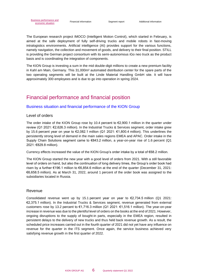The European research project IMOCO (Intelligent Motion Control), which started in February, is aimed at the safe deployment of fully self-driving trucks and mobile robots in fast-moving intralogistics environments. Artificial intelligence (AI) provides support for the various functions, namely navigation, the collection and movement of goods, and delivery to their final position. STILL is providing the German project consortium with its semi-autonomous iGo neo truck as the product basis and is coordinating the integration of components.

The KION Group is investing a sum in the mid double-digit millions to create a new premium facility in Kahl am Main, Germany. This 31,000m² automated distribution center for the spare parts of the two operating segments will be built at the Linde Material Handling GmbH site. It will have approximately 300 employees and is due to go into operation in spring 2024.

### Financial performance and financial position

#### Business situation and financial performance of the KION Group

#### Level of orders

The order intake of the KION Group rose by 10.4 percent to  $\epsilon$ 2,900.1 million in the quarter under review (Q1 2021: €2,626.3 million). In the Industrial Trucks & Services segment, order intake grew by 15.6 percent year on year to €2,082.1 million (Q1 2021: €1,800.4 million). This underlines the persistently strong level of demand in the main sales regions EMEA and APAC. Order intake in the Supply Chain Solutions segment came to €843.2 million, a year-on-year rise of 1.6 percent (Q1 2021: €829.8 million).

Currency effects increased the value of the KION Group's order intake by a total of €68.2 million.

The KION Group started the new year with a good level of orders from 2021. With a still favorable level of orders on hand, but also the continuation of long delivery times, the Group's order book had risen by a further €196.1 million to €6,854.6 million at the end of the quarter (December 31, 2021: €6,658.5 million). As at March 31, 2022, around 1 percent of the order book was assigned to the subsidiaries located in Russia.

#### Revenue

Consolidated revenue went up by 15.1 percent year on year to €2,734.5 million (Q1 2021: €2,375.1 million). In the Industrial Trucks & Services segment, revenue generated from external customers rose by 13.2 percent to  $\epsilon$ 1,716.3 million (Q1 2021:  $\epsilon$ 1,516.1 million). The year-on-year increase in revenue was due to the plentiful level of orders on the books at the end of 2021. However, ongoing disruptions to the supply of bought-in parts, especially in the EMEA region, resulted in persistent delays to the delivery of new trucks and thus held back revenue growth. As a result, the scheduled price increases carried out in the fourth quarter of 2021 did not yet have any influence on revenue for the quarter in the ITS segment. Once again, the service business achieved very satisfying revenue growth in the first quarter of 2022.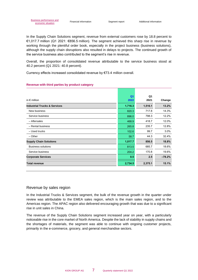In the Supply Chain Solutions segment, revenue from external customers rose by 18.8 percent to €1,017.7 million (Q1 2021: €856.5 million). The segment achieved this sharp rise in revenue by working through the plentiful order book, especially in the project business (business solutions), although the supply chain disruptions also resulted in delays to projects. The continued growth of the service business also contributed to the segment's rise in revenue.

Overall, the proportion of consolidated revenue attributable to the service business stood at 40.2 percent (Q1 2021: 40.8 percent).

Currency effects increased consolidated revenue by €73.4 million overall.

#### **Revenue with third parties by product category**

|                                         | Q <sub>1</sub> | Q1      |          |
|-----------------------------------------|----------------|---------|----------|
| in $\epsilon$ million                   | 2022           | 2021    | Change   |
| <b>Industrial Trucks &amp; Services</b> | 1,716.3        | 1,516.1 | 13.2%    |
| New business                            | 820.3          | 717.8   | 14.3%    |
| Service business                        | 896.0          | 798.3   | 12.2%    |
| - Aftersales                            | 468.9          | 418.7   | 12.0%    |
| - Rental business                       | 265.8          | 235.7   | 12.8%    |
| - Used trucks                           | 102.6          | 99.7    | 3.0%     |
| $-$ Other                               | 58.7           | 44.3    | 32.4%    |
| <b>Supply Chain Solutions</b>           | 1,017.7        | 856.5   | 18.8%    |
| <b>Business solutions</b>               | 813.5          | 685.7   | 18.6%    |
| Service business                        | 204.2          | 170.8   | 19.6%    |
| <b>Corporate Services</b>               | 0.5            | 2.5     | $-78.2%$ |
| <b>Total revenue</b>                    | 2,734.5        | 2,375.1 | 15.1%    |

#### Revenue by sales region

In the Industrial Trucks & Services segment, the bulk of the revenue growth in the quarter under review was attributable to the EMEA sales region, which is the main sales region, and to the Americas region. The APAC region also delivered encouraging growth that was due to a significant rise in unit sales in China.

The revenue of the Supply Chain Solutions segment increased year on year, with a particularly noticeable rise in the core market of North America. Despite the lack of stability in supply chains and the shortages of materials, the segment was able to continue with ongoing customer projects, primarily in the e-commerce, grocery, and general merchandise sectors.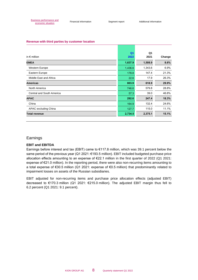#### **Revenue with third parties by customer location**

|                                  | Q <sub>1</sub> | Q1      |        |
|----------------------------------|----------------|---------|--------|
| in $\epsilon$ million            | 2022           | 2021    | Change |
| <b>EMEA</b>                      | 1,637.9        | 1,508.9 | 8.6%   |
| Western Europe                   | 1,436.6        | 1,343.6 | 6.9%   |
| Eastern Europe                   | 178.8          | 147.4   | 21.3%  |
| Middle East and Africa           | 22.6           | 17.9    | 26.3%  |
| <b>Americas</b>                  | 803.9          | 618.9   | 29.9%  |
| North America                    | 746.6          | 579.8   | 28.8%  |
| <b>Central and South America</b> | 57.3           | 39.0    | 46.8%  |
| <b>APAC</b>                      | 292.6          | 247.4   | 18.3%  |
| China                            | 164.9          | 132.4   | 24.6%  |
| APAC excluding China             | 127.7          | 115.0   | 11.1%  |
| <b>Total revenue</b>             | 2,734.5        | 2,375.1 | 15.1%  |

#### Earnings

#### **EBIT and EBITDA**

Earnings before interest and tax (EBIT) came to €117.8 million, which was 39.1 percent below the same period of the previous year (Q1 2021: €193.5 million). EBIT included budgeted purchase price allocation effects amounting to an expense of €22.1 million in the first quarter of 2022 (Q1 2021: expense of €21.0 million). In the reporting period, there were also non-recurring items amounting to a total expense of €30.5 million (Q1 2021: expense of €0.5 million) that predominantly related to impairment losses on assets of the Russian subsidiaries.

EBIT adjusted for non-recurring items and purchase price allocation effects (adjusted EBIT) decreased to €170.3 million (Q1 2021: €215.0 million). The adjusted EBIT margin thus fell to 6.2 percent (Q1 2021: 9.1 percent).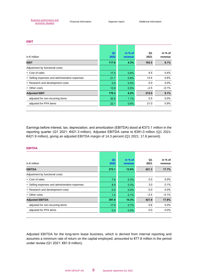#### **EBIT**

| in $\epsilon$ million                          | Q <sub>1</sub><br>2022 | in % of<br>revenue | Q1<br>2021 | in % of<br>revenue |
|------------------------------------------------|------------------------|--------------------|------------|--------------------|
| <b>EBIT</b>                                    | 117.8                  | 4.3%               | 193.5      | 8.1%               |
| Adjustment by functional costs:                |                        |                    |            |                    |
| + Cost of sales                                | 17.5                   | 0.6%               | 9.5        | 0.4%               |
| + Selling expenses and administrative expenses | 21.1                   | 0.8%               | 14.4       | 0.6%               |
| + Research and development costs               | 0.0                    | 0.0%               | 0.0        | $0.0\%$            |
| + Other costs                                  | 13.9                   | 0.5%               | $-2.5$     | $-0.1%$            |
| <b>Adjusted EBIT</b>                           | 170.3                  | 6.2%               | 215.0      | 9.1%               |
| adjusted for non-recurring items               | 30.5                   | 1.1%               | 0.5        | $0.0\%$            |
| adjusted for PPA items                         | 22.1                   | 0.8%               | 21.0       | 0.9%               |

Earnings before interest, tax, depreciation, and amortization (EBITDA) stood at €373.1 million in the reporting quarter (Q1 2021: €421.3 million). Adjusted EBITDA came to €391.0 million (Q1 2021: €421.9 million), giving an adjusted EBITDA margin of 14.3 percent (Q1 2021: 17.8 percent).

| in $\epsilon$ million                          | Q <sub>1</sub><br>2022 | in % of<br>revenue | Q1<br>2021 | in % of<br>revenue |
|------------------------------------------------|------------------------|--------------------|------------|--------------------|
| <b>EBITDA</b>                                  | 373.1                  | 13.6%              | 421.3      | 17.7%              |
| Adjustment by functional costs:                |                        |                    |            |                    |
| + Cost of sales                                | 7.6                    | 0.3%               | 0.0        | $0.0\%$            |
| + Selling expenses and administrative expenses | 8.9                    | 0.3%               | 3.0        | 0.1%               |
| + Research and development costs               | 0.0                    | 0.0%               | 0.0        | $0.0\%$            |
| + Other costs                                  | 1.4                    | 0.1%               | $-2.4$     | $-0.1%$            |
| <b>Adjusted EBITDA</b>                         | 391.0                  | 14.3%              | 421.9      | 17.8%              |
| adjusted for non-recurring items               | 17.9                   | 0.7%               | 0.6        | $0.0\%$            |
| adjusted for PPA items                         | 0.0                    | 0.0%               | 0.0        | $0.0\%$            |

#### **EBITDA**

Adjusted EBITDA for the long-term lease business, which is derived from internal reporting and assumes a minimum rate of return on the capital employed, amounted to €77.8 million in the period under review (Q1 2021: €81.9 million).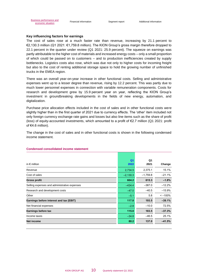#### **Key influencing factors for earnings**

The cost of sales rose at a much faster rate than revenue, increasing by 21.1 percent to €2,130.3 million (Q1 2021: €1,759.8 million). The KION Group's gross margin therefore dropped to 22.1 percent in the quarter under review (Q1 2021: 25.9 percent). The squeeze on earnings was partly attributable to the higher cost of materials and increased energy costs – only a small proportion of which could be passed on to customers – and to production inefficiencies created by supply bottlenecks. Logistics costs also rose, which was due not only to higher costs for incoming freight but also to the cost of renting additional storage space to hold the growing number of unfinished trucks in the EMEA region.

There was an overall year-on-year increase in other functional costs. Selling and administrative expenses went up to a lesser degree than revenue, rising by 12.2 percent. This was partly due to much lower personnel expenses in connection with variable remuneration components. Costs for research and development grew by 15.9 percent year on year, reflecting the KION Group's investment in groundbreaking developments in the fields of new energy, automation, and digitalization.

Purchase price allocation effects included in the cost of sales and in other functional costs were slightly higher than in the first quarter of 2021 due to currency effects. The 'other' item included not only foreign currency exchange rate gains and losses but also line items such as the share of profit (loss) of equity-accounted investments, which amounted to a profit of €2.7 million (Q1 2021: profit of €4.6 million).

The change in the cost of sales and in other functional costs is shown in the following condensed income statement.

| in $\epsilon$ million                        | Q <sub>1</sub><br>2022 | Q1<br>2021 | Change       |
|----------------------------------------------|------------------------|------------|--------------|
| Revenue                                      | 2,734.5                | 2,375.1    | 15.1%        |
| Cost of sales                                | $-2,130.3$             | $-1,759.8$ | $-21.1%$     |
| <b>Gross profit</b>                          | 604.2                  | 615.3      | $-1.8%$      |
| Selling expenses and administrative expenses | $-434.4$               | $-387.0$   | $-12.2%$     |
| Research and development costs               | $-47.0$                | $-40.5$    | $-15.9%$     |
| Other                                        | $-5.1$                 | 5.8        | $\le -100\%$ |
| Earnings before interest and tax (EBIT)      | 117.8                  | 193.5      | $-39.1%$     |
| Net financial expenses                       | $-2.8$                 | $-10.0$    | 72.5%        |
| Earnings before tax                          | 115.0                  | 183.5      | $-37.3%$     |
| Income taxes                                 | $-34.8$                | $-46.5$    | 25.1%        |
| Net income                                   | 80.2                   | 137.0      | $-41.5%$     |

#### **Condensed consolidated income statement**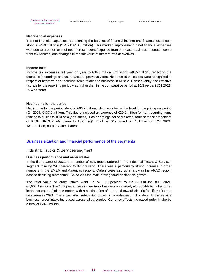#### **Net financial expenses**

The net financial expenses, representing the balance of financial income and financial expenses, stood at €2.8 million (Q1 2021: €10.0 million). This marked improvement in net financial expenses was due to a better level of net interest income/expense from the lease business, interest income from tax rebates, and changes in the fair value of interest-rate derivatives.

#### **Income taxes**

Income tax expenses fell year on year to  $\epsilon$ 34.8 million (Q1 2021:  $\epsilon$ 46.5 million), reflecting the decrease in earnings and tax rebates for previous years. No deferred tax assets were recognized in respect of negative non-recurring items relating to business in Russia. Consequently, the effective tax rate for the reporting period was higher than in the comparative period at 30.3 percent (Q1 2021: 25.4 percent).

#### **Net income for the period**

Net income for the period stood at €80.2 million, which was below the level for the prior-year period (Q1 2021: €137.0 million). This figure included an expense of €29.2 million for non-recurring items relating to business in Russia (after taxes). Basic earnings per share attributable to the shareholders of KION GROUP AG came to €0.61 (Q1 2021: €1.04) based on 131.1 million (Q1 2021: 131.1 million) no-par-value shares.

#### Business situation and financial performance of the segments

#### Industrial Trucks & Services segment

#### **Business performance and order intake**

In the first quarter of 2022, the number of new trucks ordered in the Industrial Trucks & Services segment rose by 29.3 percent to 87 thousand. There was a particularly strong increase in order numbers in the EMEA and Americas regions. Orders were also up sharply in the APAC region, despite declining momentum. China was the main driving force behind this growth.

The total value of order intake went up by 15.6 percent to  $\epsilon$ 2,082.1 million (Q1 2021: €1,800.4 million). The 18.9 percent rise in new truck business was largely attributable to higher order intake for counterbalance trucks, with a continuation of the trend toward electric forklift trucks that was seen in 2021. There was also substantial growth in warehouse truck orders. In the service business, order intake increased across all categories. Currency effects increased order intake by a total of €24.3 million.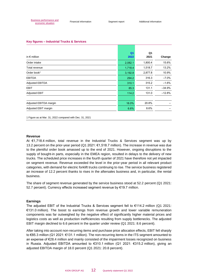#### **Key figures – Industrial Trucks & Services**

|                        | Q <sub>1</sub> | Q1      |          |
|------------------------|----------------|---------|----------|
| in $\epsilon$ million  | 2022           | 2021    | Change   |
| Order intake           | 2,082.1        | 1,800.4 | 15.6%    |
| Total revenue          | 1,718.4        | 1,518.7 | 13.2%    |
| Order book $1$         | 3,192.8        | 2,877.8 | 10.9%    |
| <b>EBITDA</b>          | 294.2          | 316.3   | $-7.0%$  |
| <b>Adjusted EBITDA</b> | 310.1          | 315.2   | $-1.6%$  |
| <b>EBIT</b>            | 85.3           | 131.1   | $-34.9%$ |
| <b>Adjusted EBIT</b>   | 114.2          | 131.0   | $-12.8%$ |
|                        |                |         |          |
| Adjusted EBITDA margin | 18.0%          | 20.8%   |          |
| Adjusted EBIT margin   | 6.6%           | 8.6%    |          |

1 Figure as at Mar. 31, 2022 compared with Dec. 31, 2021

#### **Revenue**

At €1,718.4 million, total revenue in the Industrial Trucks & Services segment was up by 13.2 percent on the prior-year period (Q1 2021: €1,518.7 million). The increase in revenue was due to the plentiful order book amassed up to the end of 2021. However, ongoing disruptions to the supply of bought-in parts, especially in the EMEA region, resulted in delays to the delivery of new trucks. The scheduled price increases in the fourth quarter of 2021 have therefore not yet impacted on segment revenue. Revenue exceeded the level in the prior-year period in all relevant product categories, with demand for electric forklift trucks continuing to rise. The service business registered an increase of 12.2 percent thanks to rises in the aftersales business and, in particular, the rental business.

The share of segment revenue generated by the service business stood at 52.2 percent (Q1 2021: 52.7 percent). Currency effects increased segment revenue by €19.7 million.

#### **Earnings**

The adjusted EBIT of the Industrial Trucks & Services segment fell to €114.2 million (Q1 2021: €131.0 million). The boost to earnings from revenue growth and lower variable remuneration components was far outweighed by the negative effect of significantly higher material prices and logistics costs as well as production inefficiencies resulting from supply bottlenecks. The adjusted EBIT margin declined to 6.6 percent in the quarter under review (Q1 2021: 8.6 percent).

After taking into account non-recurring items and purchase price allocation effects, EBIT fell sharply to €85.3 million (Q1 2021: €131.1 million). The non-recurring items in the ITS segment amounted to an expense of €28.4 million and mainly consisted of the impairment losses recognized on business in Russia. Adjusted EBITDA amounted to €310.1 million (Q1 2021: €315.2 million), giving an adjusted EBITDA margin of 18.0 percent (Q1 2021: 20.8 percent).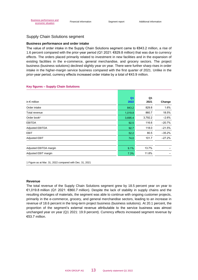#### Supply Chain Solutions segment

#### **Business performance and order intake**

The value of order intake in the Supply Chain Solutions segment came to €843.2 million, a rise of 1.6 percent compared with the prior-year period (Q1 2021: €829.8 million) that was due to currency effects. The orders placed primarily related to investment in new facilities and in the expansion of existing facilities in the e-commerce, general merchandise, and grocery sectors. The project business (business solutions) declined slightly year on year. There were further sharp rises in order intake in the higher-margin service business compared with the first quarter of 2021. Unlike in the prior-year period, currency effects increased order intake by a total of €43.9 million.

| in $\epsilon$ million   | Q <sub>1</sub><br>2022 | Q1<br>2021 | Change   |
|-------------------------|------------------------|------------|----------|
| Order intake            | 843.2                  | 829.8      | 1.6%     |
| Total revenue           | 1,019.8                | 860.7      | 18.5%    |
| Order book <sup>1</sup> | 3,695.4                | 3,792.2    | $-2.6%$  |
| <b>EBITDA</b>           | 92.5                   | 116.6      | $-20.7%$ |
| Adjusted EBITDA         | 92.7                   | 118.0      | $-21.5%$ |
| <b>EBIT</b>             | 52.2                   | 80.5       | $-35.2%$ |
| <b>Adjusted EBIT</b>    | 74.0                   | 101.7      | $-27.2%$ |
|                         |                        |            |          |
| Adjusted EBITDA margin  | 9.1%                   | 13.7%      |          |
| Adjusted EBIT margin    | 7.3%                   | 11.8%      |          |

#### **Key figures – Supply Chain Solutions**

1 Figure as at Mar. 31, 2022 compared with Dec. 31, 2021

#### **Revenue**

The total revenue of the Supply Chain Solutions segment grew by 18.5 percent year on year to €1,019.8 million (Q1 2021: €860.7 million). Despite the lack of stability in supply chains and the resulting shortages of materials, the segment was able to continue with ongoing customer projects, primarily in the e-commerce, grocery, and general merchandise sectors, leading to an increase in revenue of 18.6 percent in the long-term project business (business solutions). At 20.1 percent, the proportion of the segment's external revenue attributable to the service business was almost unchanged year on year (Q1 2021: 19.9 percent). Currency effects increased segment revenue by €53.7 million.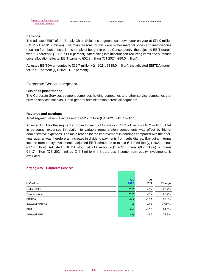#### **Earnings**

The adjusted EBIT of the Supply Chain Solutions segment was down year on year at €74.0 million (Q1 2021: €101.7 million). The main reasons for this were higher material prices and inefficiencies resulting from bottlenecks in the supply of bought-in parts. Consequently, the adjusted EBIT margin was 7.3 percent (Q1 2021: 11.8 percent). After taking into account non-recurring items and purchase price allocation effects, EBIT came to €52.2 million (Q1 2021: €80.5 million).

Adjusted EBITDA amounted to €92.7 million (Q1 2021: €118.0 million); the adjusted EBITDA margin fell to 9.1 percent (Q1 2021: 13.7 percent).

#### Corporate Services segment

#### **Business performance**

The Corporate Services segment comprises holding companies and other service companies that provide services such as IT and general administration across all segments.

#### **Revenue and earnings**

Total segment revenue increased to €52.7 million (Q1 2021: €43.7 million).

Adjusted EBIT for the segment improved to minus €4.6 million (Q1 2021: minus €16.2 million). A fall in personnel expenses in relation to variable remuneration components was offset by higher administrative expenses. The main reason for the improvement in earnings compared with the prioryear quarter was therefore an increase in dividend payments from subsidiaries. Excluding internal income from equity investments, adjusted EBIT amounted to minus €17.9 million (Q1 2021: minus €17.7 million). Adjusted EBITDA stood at €1.6 million (Q1 2021: minus €9.7 million) or minus €11.7 million (Q1 2021: minus €11.3 million) if intra-group income from equity investments is excluded.

| in $\epsilon$ million | Q <sub>1</sub><br>2022 | Q1<br>2021 | Change |
|-----------------------|------------------------|------------|--------|
| Order intake          | 52.7                   | 43.7       | 20.7%  |
| Total revenue         | 52.7                   | 43.7       | 20.7%  |
| <b>EBITDA</b>         | $-0.3$                 | $-10.1$    | 97.3%  |
| Adjusted EBITDA       | 1.6                    | $-9.7$     | >100%  |
| <b>EBIT</b>           | $-6.4$                 | $-16.6$    | 61.3%  |
| <b>Adjusted EBIT</b>  | $-4.6$                 | $-16.2$    | 71.9%  |

#### **Key figures – Corporate Services**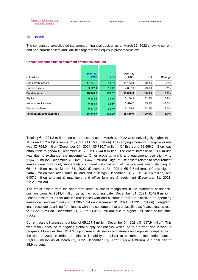#### Net assets

The condensed consolidated statement of financial position as at March 31, 2022 showing current and non-current assets and liabilities together with equity is presented below:

| in $\epsilon$ million               | Mar. 31,<br>2022 | in %   | Dec. 31,<br>2021 | in $%$ | Change  |
|-------------------------------------|------------------|--------|------------------|--------|---------|
| Non-current assets                  | 11,221.2         | 68.6%  | 11.153.0         | 70.4%  | 0.6%    |
| Current assets                      | 5,127.4          | 31.4%  | 4.697.9          | 29.6%  | 9.1%    |
| <b>Total assets</b>                 | 16,348.7         | 100.0% | 15,850.9         | 100.0% | 3.1%    |
| Equity                              | 5,473.5          | 33.5%  | 5,168.9          | 32.6%  | 5.9%    |
| Non-current liabilities             | 5,363.4          | 32.8%  | 5.576.7          | 35.2%  | $-3.8%$ |
| <b>Current liabilities</b>          | 5,511.7          | 33.7%  | 5,105.3          | 32.2%  | 8.0%    |
| <b>Total equity and liabilities</b> | 16,348.7         | 100.0% | 15,850.9         | 100.0% | 3.1%    |

#### **Condensed consolidated statement of financial position**

Totaling €11,221.2 million, non-current assets as at March 31, 2022 were only slightly higher than at the end of 2021 (December 31, 2021: €11,153.0 million). The carrying amount of intangible assets was €5,768.0 million (December 31, 2021: €5,710.7 million). Of this sum, €3,596.2 million was attributable to goodwill (December 31, 2021: €3,544.8 million). The entire increase of €51.5 million was due to exchange-rate movements. Other property, plant, and equipment rose slightly to €1,476.0 million (December 31, 2021: €1,447.5 million). Right-of-use assets related to procurement leases were down only moderately compared with the end of the previous year, standing at €511.5 million as at March 31, 2022 (December 31, 2021: €513.6 million). Of this figure, €404.3 million was attributable to land and buildings (December 31, 2021: €401.6 million) and €107.2 million to plant & machinery and office furniture & equipment (December 31, 2021: €112.0 million).

The rental assets from the short-term rental business recognized in the statement of financial position came to €543.4 million as at the reporting date (December 31, 2021: €542.8 million). Leased assets for direct and indirect leases with end customers that are classified as operating leases declined marginally to €1,385.1 million (December 31, 2021: €1,391.5 million). Long-term lease receivables arising from leases with end customers that are classified as finance leases rose to €1,327.5 million (December 31, 2021: €1,318.9 million) due to higher unit sales of industrial trucks.

Current assets increased to a total of €5,127.4 million (December 31, 2021: €4,697.9 million). This was mainly because of ongoing global supply bottlenecks, which led to a further rise in work in progress. Moreover, the KION Group increased its stocks of materials and supplies compared with the end of 2021 in order to maintain its ability to deliver to customers. Inventories totaled €1,890.8 million as at March 31, 2022 (December 31, 2021: €1,632.1 million), a further rise of 15.9 percent.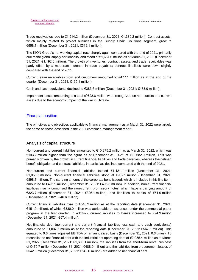Trade receivables rose to €1,514.2 million (December 31, 2021: €1,339.2 million). Contract assets, which mainly related to project business in the Supply Chain Solutions segment, grew to €558.7 million (December 31, 2021: €519.1 million).

The KION Group's net working capital rose sharply again compared with the end of 2021, primarily due to the global supply bottlenecks, and stood at €1,631.0 million as at March 31, 2022 (December 31, 2021: €1,192.0 million). The growth of inventories, contract assets, and trade receivables was partly offset by a moderate increase in trade payables; contract liabilities were down slightly compared with the end of 2021.

Current lease receivables from end customers amounted to  $E$ 477.1 million as at the end of the quarter (December 31, 2021: €465.1 million).

Cash and cash equivalents declined to €383.6 million (December 31, 2021: €483.0 million).

Impairment losses amounting to a total of €28.6 million were recognized on non-current and current assets due to the economic impact of the war in Ukraine.

#### Financial position

The principles and objectives applicable to financial management as at March 31, 2022 were largely the same as those described in the 2021 combined management report.

#### Analysis of capital structure

Non-current and current liabilities amounted to €10,875.2 million as at March 31, 2022, which was €193.2 million higher than the figure as at December 31, 2021 of €10,682.0 million. This was primarily driven by the growth in current financial liabilities and trade payables, whereas the defined benefit obligation and contract liabilities, in particular, declined compared with the end of 2021.

Non-current and current financial liabilities totaled €1,421.1 million (December 31, 2021: €1,050.5 million). Non-current financial liabilities stood at €902.2 million (December 31, 2021: €898.7 million). The carrying amount of the corporate bond issued, which is included in this line item, amounted to €495.9 million (December 31, 2021: €495.6 million). In addition, non-current financial liabilities mainly comprised the non-current promissory notes, which have a carrying amount of €323.7 million (December 31, 2021: €326.1 million), and liabilities to banks of €51.9 million (December 31, 2021: €46.6 million).

Current financial liabilities rose to €518.9 million as at the reporting date (December 31, 2021: €151.9 million), of which €330.0 million was attributable to issuances under the commercial paper program in the first quarter. In addition, current liabilities to banks increased to €94.9 million (December 31, 2021: €57.4 million).

Net financial debt (non-current and current financial liabilities less cash and cash equivalents) amounted to €1,037.5 million as at the reporting date (December 31, 2021: €567.6 million). This equated to 0.6 times adjusted EBITDA on an annualized basis (December 31, 2021: 0.3 times). To reconcile the net financial debt with the industrial net operating debt of €2,055.4 million as at March 31, 2022 (December 31, 2021: €1,600.1 million), the liabilities from the short-term rental business of €475.7 million (December 31, 2021: €488.9 million) and the liabilities from procurement leases of €542.3 million (December 31, 2021: €543.6 million) are added to net financial debt.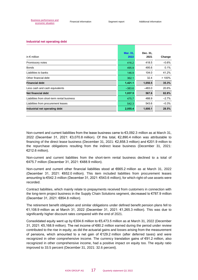#### **Industrial net operating debt**

| in $\epsilon$ million                       | Mar. 31,<br>2022 | Dec. 31,<br>2021 | Change  |
|---------------------------------------------|------------------|------------------|---------|
| Promissory notes                            | 416.2            | 418.5            | $-0.6%$ |
| <b>Bonds</b>                                | 495.9            | 495.6            | 0.1%    |
| Liabilities to banks                        | 146.9            | 104.0            | 41.2%   |
| Other financial debt                        | 362.1            | 32.4             | >100%   |
| <b>Financial debt</b>                       | 1,421.1          | 1,050.5          | 35.3%   |
| Less cash and cash equivalents              | $-383.6$         | $-483.0$         | 20.6%   |
| Net financial debt                          | 1,037.5          | 567.6            | 82.8%   |
| Liabilities from short-term rental business | 475.7            | 488.9            | $-2.7%$ |
| Liabilities from procurement leases         | 542.3            | 543.6            | $-0.3%$ |
| Industrial net operating debt               | 2,055.4          | 1,600.1          | 28.5%   |

Non-current and current liabilities from the lease business came to €3,092.3 million as at March 31, 2022 (December 31, 2021: €3,070.8 million). Of this total, €2,890.4 million was attributable to financing of the direct lease business (December 31, 2021: €2,858.3 million) and €201.9 million to the repurchase obligations resulting from the indirect lease business (December 31, 2021: €212.6 million).

Non-current and current liabilities from the short-term rental business declined to a total of €475.7 million (December 31, 2021: €488.9 million).

Non-current and current other financial liabilities stood at €665.2 million as at March 31, 2022 (December 31, 2021: €652.0 million). This item included liabilities from procurement leases amounting to €542.3 million (December 31, 2021: €543.6 million), for which right-of-use assets were recorded.

Contract liabilities, which mainly relate to prepayments received from customers in connection with the long-term project business in the Supply Chain Solutions segment, decreased to €787.9 million (December 31, 2021: €854.8 million).

The retirement benefit obligation and similar obligations under defined benefit pension plans fell to €1,108.9 million as at March 31, 2022 (December 31, 2021: €1,265.3 million). This was due to significantly higher discount rates compared with the end of 2021.

Consolidated equity went up by €304.6 million to €5,473.5 million as at March 31, 2022 (December 31, 2021: €5,168.9 million). The net income of €80.2 million earned during the period under review contributed to the rise in equity, as did the actuarial gains and losses arising from the measurement of pensions, which amounted to a net gain of €129.2 million (after deferred taxes) and were recognized in other comprehensive income. The currency translation gains of €91.2 million, also recognized in other comprehensive income, had a positive impact on equity too. The equity ratio improved to 33.5 percent (December 31, 2021: 32.6 percent).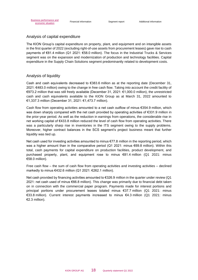#### Analysis of capital expenditure

The KION Group's capital expenditure on property, plant, and equipment and on intangible assets in the first quarter of 2022 (excluding right-of-use assets from procurement leases) gave rise to cash payments of €81.4 million (Q1 2021: €58.0 million). The focus in the Industrial Trucks & Services segment was on the expansion and modernization of production and technology facilities. Capital expenditure in the Supply Chain Solutions segment predominantly related to development costs.

#### Analysis of liquidity

Cash and cash equivalents decreased to  $\epsilon$ 383.6 million as at the reporting date (December 31, 2021: €483.0 million) owing to the change in free cash flow. Taking into account the credit facility of €973.2 million that was still freely available (December 31, 2021: €1,000.0 million), the unrestricted cash and cash equivalents available to the KION Group as at March 31, 2022 amounted to €1,337.3 million (December 31, 2021: €1,473.7 million).

Cash flow from operating activities amounted to a net cash outflow of minus €354.9 million, which was down sharply compared with the net cash provided by operating activities of €331.9 million in the prior-year period. As well as the reduction in earnings from operations, the considerable rise in net working capital of €433.8 million reduced the level of cash flow from operating activities. There was a particularly sharp rise in inventories in the ITS segment owing to the supply problems. Moreover, higher contract balances in the SCS segment's project business meant that further liquidity was tied up.

Net cash used for investing activities amounted to minus €77.8 million in the reporting period, which was a higher amount than in the comparative period (Q1 2021: minus €69.8 million). Within this total, cash payments for capital expenditure on production facilities, product development, and purchased property, plant, and equipment rose to minus €81.4 million (Q1 2021: minus €58.0 million).

Free cash flow – the sum of cash flow from operating activities and investing activities – declined markedly to minus €432.6 million (Q1 2021: €262.1 million).

Net cash provided by financing activities amounted to €326.9 million in the quarter under review (Q1 2021: net cash used of minus €66.8 million). This change was primarily due to financial debt taken on in connection with the commercial paper program. Payments made for interest portions and principal portions under procurement leases totaled minus €37.7 million (Q1 2021: minus €33.8 million). Current interest payments increased to minus €4.3 million (Q1 2021: minus €2.3 million).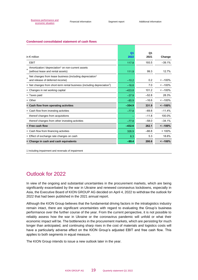#### **Condensed consolidated statement of cash flows**

|                                                                                                         | Q <sub>1</sub> | Q1      |               |
|---------------------------------------------------------------------------------------------------------|----------------|---------|---------------|
| in $\epsilon$ million                                                                                   | 2022           | 2021    | Change        |
| <b>EBIT</b>                                                                                             | 117.8          | 193.5   | $-39.1%$      |
| Amortization / depreciation <sup>1</sup> on non-current assets<br>(without lease and rental assets)     | 111.9          | 99.3    | 12.7%         |
| Net changes from lease business (including depreciation <sup>1</sup><br>and release of deferred income) | $-10.2$        | 0.2     | $\leq -100\%$ |
| + Net changes from short-term rental business (including depreciation <sup>1</sup> )                    | $-16.8$        | 7.0     | $\leq -100\%$ |
| + Changes in net working capital                                                                        | $-433.8$       | 101.2   | $\leq -100\%$ |
| + Taxes paid                                                                                            | $-37.9$        | $-52.8$ | 28.3%         |
| + Other                                                                                                 | $-85.9$        | $-16.6$ | $\leq -100\%$ |
| = Cash flow from operating activities                                                                   | $-354.9$       | 331.9   | $\le -100\%$  |
| + Cash flow from investing activities                                                                   | $-77.8$        | $-69.8$ | $-11.4%$      |
| thereof changes from acquisitions                                                                       |                | $-11.8$ | 100.0%        |
| thereof changes from other investing activities                                                         | $-77.8$        | $-58.0$ | $-34.1%$      |
| $=$ Free cash flow                                                                                      | $-432.6$       | 262.1   | $\le -100\%$  |
| + Cash flow from financing activities                                                                   | 326.9          | $-66.8$ | >100%         |
| + Effect of exchange rate changes on cash                                                               | 6.3            | 5.3     | 18.6%         |
| = Change in cash and cash equivalents                                                                   | $-99.4$        | 200.6   | $\le -100\%$  |

1 Including impairment and reversals of impairment

### Outlook for 2022

In view of the ongoing and substantial uncertainties in the procurement markets, which are being significantly exacerbated by the war in Ukraine and renewed coronavirus lockdowns, especially in Asia, the Executive Board of KION GROUP AG decided on April 4, 2022 to withdraw the outlook for 2022 that had been published in the 2021 annual report.

Although the KION Group believes that the fundamental driving factors in the intralogistics industry remain intact, there are significant uncertainties with regard to evaluating the Group's business performance over the further course of the year. From the current perspective, it is not possible to reliably assess how the war in Ukraine or the coronavirus pandemic will unfold or what their economic impact will be. The bottlenecks in the procurement markets, which are persisting for much longer than anticipated, and continuing sharp rises in the cost of materials and logistics costs will have a particularly adverse effect on the KION Group's adjusted EBIT and free cash flow. This applies to both segments in equal measure.

The KION Group intends to issue a new outlook later in the year.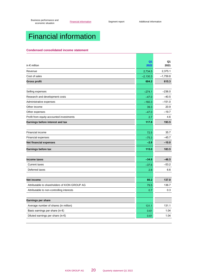# <span id="page-19-0"></span>Financial information

#### **Condensed consolidated income statement**

| Q <sub>1</sub><br>Q1<br>in $\epsilon$ million<br>2022<br>2021<br>2,375.1<br>2,734.5<br>Revenue<br>Cost of sales<br>$-1,759.8$<br>$-2,130.3$<br>604.2<br><b>Gross profit</b><br>615.3<br>$-236.0$<br>Selling expenses<br>$-274.1$<br>$-40.5$<br>Research and development costs<br>$-47.0$<br>$-160.3$<br>$-151.0$<br>20.9<br>39.3<br>$-19.7$<br>$-47.0$<br>4.6<br>2.7<br>117.8<br>193.5<br>35.7<br>72.5<br>$-45.7$<br><b>Financial expenses</b><br>$-75.3$<br>$-2.8$<br>$-10.0$<br>115.0<br>183.5<br><b>Earnings before tax</b><br>$-34.8$<br>$-46.5$<br><b>Income taxes</b><br>$-53.2$<br><b>Current taxes</b><br>$-37.6$<br>Deferred taxes<br>2.8<br>6.6<br>80.2<br>137.0<br>Attributable to shareholders of KION GROUP AG<br>136.7<br>79.5<br>0.3<br>Attributable to non-controlling interests<br>0.7<br>Earnings per share<br>131.1<br>Average number of shares (in million)<br>131.1<br>1.04<br>Basic earnings per share (in $\epsilon$ )<br>0.61<br>0.61<br>1.04<br>Diluted earnings per share (in $\epsilon$ ) |                                          |  |
|----------------------------------------------------------------------------------------------------------------------------------------------------------------------------------------------------------------------------------------------------------------------------------------------------------------------------------------------------------------------------------------------------------------------------------------------------------------------------------------------------------------------------------------------------------------------------------------------------------------------------------------------------------------------------------------------------------------------------------------------------------------------------------------------------------------------------------------------------------------------------------------------------------------------------------------------------------------------------------------------------------------------|------------------------------------------|--|
|                                                                                                                                                                                                                                                                                                                                                                                                                                                                                                                                                                                                                                                                                                                                                                                                                                                                                                                                                                                                                      |                                          |  |
|                                                                                                                                                                                                                                                                                                                                                                                                                                                                                                                                                                                                                                                                                                                                                                                                                                                                                                                                                                                                                      |                                          |  |
|                                                                                                                                                                                                                                                                                                                                                                                                                                                                                                                                                                                                                                                                                                                                                                                                                                                                                                                                                                                                                      |                                          |  |
|                                                                                                                                                                                                                                                                                                                                                                                                                                                                                                                                                                                                                                                                                                                                                                                                                                                                                                                                                                                                                      |                                          |  |
|                                                                                                                                                                                                                                                                                                                                                                                                                                                                                                                                                                                                                                                                                                                                                                                                                                                                                                                                                                                                                      |                                          |  |
|                                                                                                                                                                                                                                                                                                                                                                                                                                                                                                                                                                                                                                                                                                                                                                                                                                                                                                                                                                                                                      |                                          |  |
|                                                                                                                                                                                                                                                                                                                                                                                                                                                                                                                                                                                                                                                                                                                                                                                                                                                                                                                                                                                                                      |                                          |  |
|                                                                                                                                                                                                                                                                                                                                                                                                                                                                                                                                                                                                                                                                                                                                                                                                                                                                                                                                                                                                                      |                                          |  |
|                                                                                                                                                                                                                                                                                                                                                                                                                                                                                                                                                                                                                                                                                                                                                                                                                                                                                                                                                                                                                      | Administrative expenses                  |  |
|                                                                                                                                                                                                                                                                                                                                                                                                                                                                                                                                                                                                                                                                                                                                                                                                                                                                                                                                                                                                                      | Other income                             |  |
|                                                                                                                                                                                                                                                                                                                                                                                                                                                                                                                                                                                                                                                                                                                                                                                                                                                                                                                                                                                                                      | Other expenses                           |  |
|                                                                                                                                                                                                                                                                                                                                                                                                                                                                                                                                                                                                                                                                                                                                                                                                                                                                                                                                                                                                                      | Profit from equity-accounted investments |  |
|                                                                                                                                                                                                                                                                                                                                                                                                                                                                                                                                                                                                                                                                                                                                                                                                                                                                                                                                                                                                                      | Earnings before interest and tax         |  |
|                                                                                                                                                                                                                                                                                                                                                                                                                                                                                                                                                                                                                                                                                                                                                                                                                                                                                                                                                                                                                      |                                          |  |
|                                                                                                                                                                                                                                                                                                                                                                                                                                                                                                                                                                                                                                                                                                                                                                                                                                                                                                                                                                                                                      | <b>Financial income</b>                  |  |
|                                                                                                                                                                                                                                                                                                                                                                                                                                                                                                                                                                                                                                                                                                                                                                                                                                                                                                                                                                                                                      |                                          |  |
|                                                                                                                                                                                                                                                                                                                                                                                                                                                                                                                                                                                                                                                                                                                                                                                                                                                                                                                                                                                                                      | <b>Net financial expenses</b>            |  |
|                                                                                                                                                                                                                                                                                                                                                                                                                                                                                                                                                                                                                                                                                                                                                                                                                                                                                                                                                                                                                      |                                          |  |
|                                                                                                                                                                                                                                                                                                                                                                                                                                                                                                                                                                                                                                                                                                                                                                                                                                                                                                                                                                                                                      |                                          |  |
|                                                                                                                                                                                                                                                                                                                                                                                                                                                                                                                                                                                                                                                                                                                                                                                                                                                                                                                                                                                                                      |                                          |  |
|                                                                                                                                                                                                                                                                                                                                                                                                                                                                                                                                                                                                                                                                                                                                                                                                                                                                                                                                                                                                                      |                                          |  |
|                                                                                                                                                                                                                                                                                                                                                                                                                                                                                                                                                                                                                                                                                                                                                                                                                                                                                                                                                                                                                      |                                          |  |
|                                                                                                                                                                                                                                                                                                                                                                                                                                                                                                                                                                                                                                                                                                                                                                                                                                                                                                                                                                                                                      |                                          |  |
|                                                                                                                                                                                                                                                                                                                                                                                                                                                                                                                                                                                                                                                                                                                                                                                                                                                                                                                                                                                                                      | <b>Net income</b>                        |  |
|                                                                                                                                                                                                                                                                                                                                                                                                                                                                                                                                                                                                                                                                                                                                                                                                                                                                                                                                                                                                                      |                                          |  |
|                                                                                                                                                                                                                                                                                                                                                                                                                                                                                                                                                                                                                                                                                                                                                                                                                                                                                                                                                                                                                      |                                          |  |
|                                                                                                                                                                                                                                                                                                                                                                                                                                                                                                                                                                                                                                                                                                                                                                                                                                                                                                                                                                                                                      |                                          |  |
|                                                                                                                                                                                                                                                                                                                                                                                                                                                                                                                                                                                                                                                                                                                                                                                                                                                                                                                                                                                                                      |                                          |  |
|                                                                                                                                                                                                                                                                                                                                                                                                                                                                                                                                                                                                                                                                                                                                                                                                                                                                                                                                                                                                                      |                                          |  |
|                                                                                                                                                                                                                                                                                                                                                                                                                                                                                                                                                                                                                                                                                                                                                                                                                                                                                                                                                                                                                      |                                          |  |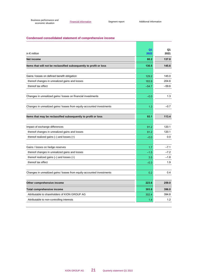#### **Condensed consolidated statement of comprehensive income**

| in $\epsilon$ million                                                  | Q1<br>2022 | Q1<br>2021 |
|------------------------------------------------------------------------|------------|------------|
| <b>Net income</b>                                                      | 80.2       | 137.0      |
| Items that will not be reclassified subsequently to profit or loss     | 130.5      | 145.6      |
| Gains / losses on defined benefit obligation                           | 129.2      | 145.0      |
| thereof changes in unrealized gains and losses                         | 183.9      | 204.6      |
| thereof tax effect                                                     | $-54.7$    | $-59.6$    |
|                                                                        |            |            |
| Changes in unrealized gains / losses on financial investments          | $-0.0$     | 1.3        |
| Changes in unrealized gains / losses from equity-accounted investments | 1.3        | $-0.7$     |
| Items that may be reclassified subsequently to profit or loss          | 93.1       | 113.4      |
|                                                                        |            |            |
| Impact of exchange differences                                         | 91.2       | 120.1      |
| thereof changes in unrealized gains and losses                         | 91.2       | 120.1      |
| thereof realized gains $(-)$ and losses $(+)$                          | $-0.0$     | 0.0        |
| Gains / losses on hedge reserves                                       | 1.7        | $-7.1$     |
| thereof changes in unrealized gains and losses                         | $-1.5$     | $-7.2$     |
| thereof realized gains $(-)$ and losses $(+)$                          | 3.5        | $-1.8$     |
| thereof tax effect                                                     | $-0.3$     | 1.9        |
| Changes in unrealized gains / losses from equity-accounted investments | 0.2        | 0.4        |
|                                                                        |            |            |
| Other comprehensive income                                             | 223.6      | 259.0      |
| <b>Total comprehensive income</b>                                      | 303.8      | 396.0      |
| Attributable to shareholders of KION GROUP AG                          | 302.4      | 394.8      |
| Attributable to non-controlling interests                              | 1.4        | 1.2        |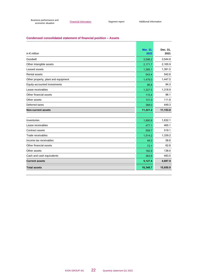#### **Condensed consolidated statement of financial position – Assets**

| in $\epsilon$ million               | <b>Mar. 31.</b><br>2022 | Dec. 31,<br>2021 |
|-------------------------------------|-------------------------|------------------|
| Goodwill                            | 3,596.2                 | 3.544.8          |
| Other intangible assets             | 2,171.7                 | 2,165.9          |
| Leased assets                       | 1,385.1                 | 1,391.5          |
| <b>Rental assets</b>                | 543.4                   | 542.8            |
| Other property, plant and equipment | 1,476.0                 | 1,447.5          |
| Equity-accounted investments        | 86.8                    | 84.3             |
| Lease receivables                   | 1,327.5                 | 1,318.9          |
| Other financial assets              | 115.4                   | 96.1             |
| Other assets                        | 131.0                   | 111.8            |
| Deferred taxes                      | 388.0                   | 449.3            |
| <b>Non-current assets</b>           | 11,221.2                | 11,153.0         |
|                                     |                         |                  |
| Inventories                         | 1,890.8                 | 1,632.1          |
| Lease receivables                   | 477.1                   | 465.1            |
| Contract assets                     | 558.7                   | 519.1            |
| Trade receivables                   | 1,514.2                 | 1,339.2          |
| Income tax receivables              | 48.0                    | 58.6             |
| Other financial assets              | 72.1                    | 62.8             |
| Other assets                        | 182.9                   | 138.0            |
| Cash and cash equivalents           | 383.6                   | 483.0            |
| <b>Current assets</b>               | 5,127.4                 | 4,697.9          |
| <b>Total assets</b>                 | 16,348.7                | 15,850.9         |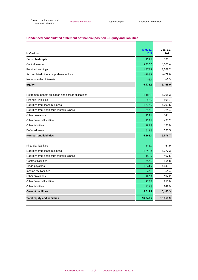#### **Condensed consolidated statement of financial position – Equity and liabilities**

| in $\epsilon$ million                                 | <b>Mar. 31,</b><br>2022 | Dec. 31,<br>2021 |
|-------------------------------------------------------|-------------------------|------------------|
| Subscribed capital                                    | 131.1                   | 131.1            |
| Capital reserve                                       | 3,826.5                 | 3,826.4          |
| Retained earnings                                     | 1,778.7                 | 1,699.2          |
| Accumulated other comprehensive loss                  | $-256.7$                | $-479.6$         |
| Non-controlling interests                             | $-6.1$                  | $-8.3$           |
| <b>Equity</b>                                         | 5,473.5                 | 5,168.9          |
|                                                       |                         |                  |
| Retirement benefit obligation and similar obligations | 1,108.9                 | 1,265.3          |
| <b>Financial liabilities</b>                          | 902.2                   | 898.7            |
| Liabilities from lease business                       | 1,777.2                 | 1,793.5          |
| Liabilities from short-term rental business           | 310.0                   | 321.4            |
| Other provisions                                      | 129.4                   | 143.1            |
| Other financial liabilities                           | 428.1                   | 433.2            |
| <b>Other liabilities</b>                              | 188.9                   | 198.0            |
| Deferred taxes                                        | 518.9                   | 523.5            |
| <b>Non-current liabilities</b>                        | 5,363.4                 | 5,576.7          |
|                                                       |                         |                  |
| <b>Financial liabilities</b>                          | 518.9                   | 151.9            |
| Liabilities from lease business                       | 1,315.1                 | 1,277.3          |
| Liabilities from short-term rental business           | 165.7                   | 167.5            |
| <b>Contract liabilities</b>                           | 787.9                   | 854.8            |
| Trade payables                                        | 1,544.7                 | 1,443.7          |
| Income tax liabilities                                | 40.8                    | 51.4             |
| Other provisions                                      | 180.2                   | 197.2            |
| Other financial liabilities                           | 237.2                   | 218.8            |
| Other liabilities                                     | 721.3                   | 742.9            |
| <b>Current liabilities</b>                            | 5,511.7                 | 5,105.3          |
| <b>Total equity and liabilities</b>                   | 16,348.7                | 15,850.9         |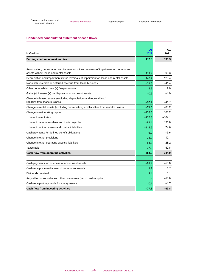#### **Condensed consolidated statement of cash flows**

| in $\epsilon$ million                                                                                                            | Q <sub>1</sub><br>2022 | Q1<br>2021 |
|----------------------------------------------------------------------------------------------------------------------------------|------------------------|------------|
| Earnings before interest and tax                                                                                                 | 117.8                  | 193.5      |
|                                                                                                                                  |                        |            |
| Amortization, depreciation and impairment minus reversals of impairment on non-current<br>assets without lease and rental assets | 111.9                  | 99.3       |
| Depreciation and impairment minus reversals of impairment on lease and rental assets                                             | 143.4                  | 128.4      |
| Non-cash reversals of deferred revenue from lease business                                                                       | $-31.6$                | $-41.4$    |
| Other non-cash income $(-)$ / expenses $(+)$                                                                                     | 8.9                    | 9.0        |
| Gains $(-)$ / losses $(+)$ on disposal of non-current assets                                                                     | $-0.6$                 | $-1.9$     |
| Change in leased assets (excluding depreciation) and receivables /<br>liabilities from lease business                            | $-67.2$                | $-417$     |
| Change in rental assets (excluding depreciation) and liabilities from rental business                                            | $-71.6$                | $-38.2$    |
| Change in net working capital                                                                                                    | $-433.8$               | 101.2      |
| thereof inventories                                                                                                              | $-237.8$               | $-104.1$   |
| thereof trade receivables and trade payables                                                                                     | $-81.4$                | 130.8      |
| thereof contract assets and contract liabilities                                                                                 | $-114.6$               | 74.6       |
| Cash payments for defined benefit obligations                                                                                    | $-6.0$                 | $-5.6$     |
| Change in other provisions                                                                                                       | $-33.9$                | 10.1       |
| Change in other operating assets / liabilities                                                                                   | $-54.3$                | $-28.2$    |
| Taxes paid                                                                                                                       | $-37.9$                | $-52.8$    |
| Cash flow from operating activities                                                                                              | $-354.9$               | 331.9      |
|                                                                                                                                  |                        |            |
| Cash payments for purchase of non-current assets                                                                                 | $-81.4$                | $-58.0$    |
| Cash receipts from disposal of non-current assets                                                                                | 1.2                    | 1.7        |
| Dividends received                                                                                                               | 2.4                    | 0.1        |
| Acquisition of subsidiaries / other businesses (net of cash acquired)                                                            |                        | $-11.8$    |
| Cash receipts / payments for sundry assets                                                                                       | 0.1                    | $-1.7$     |
| Cash flow from investing activities                                                                                              | $-77.8$                | $-69.8$    |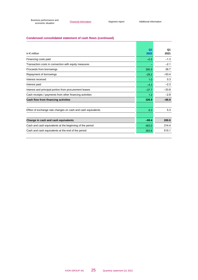#### **Condensed consolidated statement of cash flows (continued)**

| in $\epsilon$ million                                        | $\Omega$ 1<br>2022 | Q1<br>2021 |
|--------------------------------------------------------------|--------------------|------------|
| Financing costs paid                                         | $-0.5$             | $-1.3$     |
| Transaction costs in connection with equity measures         |                    | $-2.1$     |
| Proceeds from borrowings                                     | 395.5              | 28.7       |
| Repayment of borrowings                                      | $-28.2$            | $-53.4$    |
| Interest received                                            | 1.0                | 0.3        |
| Interest paid                                                | $-4.3$             | $-2.3$     |
| Interest and principal portion from procurement leases       | $-37.7$            | $-33.8$    |
| Cash receipts / payments from other financing activities     | 1.2                | $-2.8$     |
| Cash flow from financing activities                          | 326.9              | $-66.8$    |
|                                                              |                    |            |
| Effect of exchange rate changes on cash and cash equivalents | 6.3                | 5.3        |
|                                                              |                    |            |
| Change in cash and cash equivalents                          | $-99.4$            | 200.6      |
| Cash and cash equivalents at the beginning of the period     | 483.0              | 314.4      |
| Cash and cash equivalents at the end of the period           | 383.6              | 515.1      |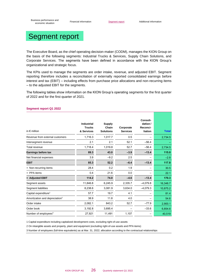[Business performance and](#page-3-0) siness performance and<br> [economic situation](#page-3-0)<br>
economic situation

<span id="page-25-0"></span>

The Executive Board, as the chief operating decision-maker (CODM), manages the KION Group on the basis of the following segments: Industrial Trucks & Services, Supply Chain Solutions, and Corporate Services. The segments have been defined in accordance with the KION Group's organizational and strategic focus.

The KPIs used to manage the segments are order intake, revenue, and adjusted EBIT. Segment reporting therefore includes a reconciliation of externally reported consolidated earnings before interest and tax (EBIT) – including effects from purchase price allocations and non-recurring items – to the adjusted EBIT for the segments.

The following tables show information on the KION Group's operating segments for the first quarter of 2022 and for the first quarter of 2021.

| in $\epsilon$ million                      | <b>Industrial</b><br><b>Trucks</b><br>& Services | <b>Supply</b><br>Chain<br><b>Solutions</b> | Corporate<br><b>Services</b> | Consoli-<br>dation/<br>Reconci-<br>liation | <b>Total</b> |
|--------------------------------------------|--------------------------------------------------|--------------------------------------------|------------------------------|--------------------------------------------|--------------|
| Revenue from external customers            | 1,716.3                                          | 1,017.7                                    | 0.5                          |                                            | 2,734.5      |
| Intersegment revenue                       | 2.1                                              | 2.1                                        | 52.1                         | $-56.4$                                    |              |
| Total revenue                              | 1,718.4                                          | 1,019.8                                    | 52.7                         | $-56.4$                                    | 2,734.5      |
| Earnings before tax                        | 89.3                                             | 43.0                                       | $-3.9$                       | $-13.4$                                    | 115.0        |
| Net financial expenses                     | 3.9                                              | $-9.2$                                     | 2.5                          |                                            | $-2.8$       |
| <b>EBIT</b>                                | 85.3                                             | 52.2                                       | $-6.4$                       | $-13.4$                                    | 117.8        |
| + Non-recurring items                      | 28.4                                             | 0.2                                        | 1.9                          |                                            | 30.5         |
| + PPA items                                | 0.4                                              | 21.6                                       | 0.0                          |                                            | 22.1         |
| = Adjusted EBIT                            | 114.2                                            | 74.0                                       | $-4.6$                       | $-13.4$                                    | 170.3        |
| Segment assets                             | 11,846.8                                         | 6,245.9                                    | 2,335.7                      | $-4,079.8$                                 | 16,348.7     |
| Segment liabilities                        | 8,238.6                                          | 3,081.9                                    | 3,634.0                      | $-4,079.3$                                 | 10,875.2     |
| Capital expenditure <sup>1</sup>           | 57.7                                             | 19.7                                       | 4.1                          |                                            | 81.4         |
| Amortization and depreciation <sup>2</sup> | 38.9                                             | 11.8                                       | 4.0                          |                                            | 54.6         |
| Order intake                               | 2,082.1                                          | 843.2                                      | 52.7                         | $-77.9$                                    | 2,900.1      |
| Order book                                 | 3,192.8                                          | 3,695.4                                    |                              | $-33.6$                                    | 6,854.6      |
| Number of employees <sup>3</sup>           | 27,921                                           | 11,491                                     | 1,107                        |                                            | 40.519       |

#### **Segment report Q1 2022**

1 Capital expenditure including capitalized development costs, excluding right-of-use assets

2 On intangible assets and property, plant and equipment (excluding right-of-use assets and PPA items)

3 Number of employees (full-time equivalents) as at Mar. 31, 2022; allocation according to the contractual relationships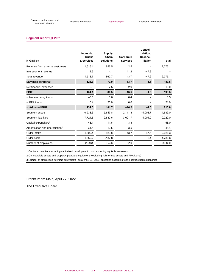#### **Segment report Q1 2021**

| in $\epsilon$ million                      | <b>Industrial</b><br><b>Trucks</b><br>& Services | <b>Supply</b><br>Chain<br><b>Solutions</b> | Corporate<br><b>Services</b> | Consoli-<br>dation/<br>Reconci-<br>liation | <b>Total</b> |
|--------------------------------------------|--------------------------------------------------|--------------------------------------------|------------------------------|--------------------------------------------|--------------|
| Revenue from external customers            | 1,516.1                                          | 856.5                                      | 2.5                          |                                            | 2,375.1      |
| Intersegment revenue                       | 2.6                                              | 4.1                                        | 41.2                         | $-47.9$                                    |              |
| Total revenue                              | 1,518.7                                          | 860.7                                      | 43.7                         | $-47.9$                                    | 2,375.1      |
| Earnings before tax                        | 125.6                                            | 73.0                                       | $-13.7$                      | $-1.5$                                     | 183.5        |
| Net financial expenses                     | $-5.5$                                           | $-7.5$                                     | 2.9                          |                                            | $-10.0$      |
| <b>EBIT</b>                                | 131.1                                            | 80.5                                       | $-16.6$                      | $-1.5$                                     | 193.5        |
| + Non-recurring items                      | $-0.5$                                           | 0.6                                        | 0.4                          |                                            | 0.5          |
| + PPA items                                | 0.4                                              | 20.6                                       | 0.0                          |                                            | 21.0         |
| = Adjusted EBIT                            | 131.0                                            | 101.7                                      | $-16.2$                      | $-1.5$                                     | 215.0        |
| Segment assets                             | 10,938.6                                         | 5,647.8                                    | 2,111.3                      | $-4,008.7$                                 | 14,689.0     |
| Segment liabilities                        | 7,724.6                                          | 2,680.6                                    | 3,621.7                      | $-4,004.9$                                 | 10,022.0     |
| Capital expenditure <sup>1</sup>           | 43.1                                             | 11.6                                       | 3.3                          |                                            | 58.0         |
| Amortization and depreciation <sup>2</sup> | 34.5                                             | 10.5                                       | 3.5                          |                                            | 48.4         |
| Order intake                               | 1,800.4                                          | 829.8                                      | 43.7                         | $-47.5$                                    | 2,626.3      |
| Order book                                 | 1,659.2                                          | 3,132.8                                    |                              | $-5.4$                                     | 4,786.6      |
| Number of employees <sup>3</sup>           | 26,464                                           | 9,426                                      | 910                          |                                            | 36,800       |

1 Capital expenditure including capitalized development costs, excluding right-of-use assets

2 On intangible assets and property, plant and equipment (excluding right-of-use assets and PPA items)

3 Number of employees (full-time equivalents) as at Mar. 31, 2021; allocation according to the contractual relationships

Frankfurt am Main, April 27, 2022

The Executive Board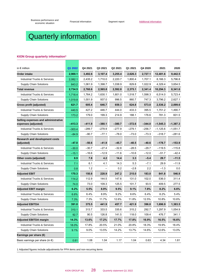[Business performance and](#page-3-0) siness performance and<br> [economic situation](#page-3-0)<br>
economic situation

# <span id="page-27-0"></span>Quarterly information

#### **KION Group quarterly information<sup>1</sup>**

| in $\epsilon$ million                                      | Q1 2022  | Q4 2021  | Q3 2021  | Q2 2021  | Q1 2021  | Q4 2020  | 2021       | 2020       |
|------------------------------------------------------------|----------|----------|----------|----------|----------|----------|------------|------------|
| Order intake                                               | 2,900.1  | 3,492.6  | 3,107.4  | 3,255.4  | 2,626.3  | 2,727.1  | 12,481.6   | 9,442.5    |
| <b>Industrial Trucks &amp; Services</b>                    | 2,082.1  | 2,435.2  | 1,710.0  | 2,220.7  | 1,800.4  | 1,707.1  | 8,166.3    | 5,796.8    |
| <b>Supply Chain Solutions</b>                              | 843.2    | 1,061.9  | 1,398.7  | 1,038.9  | 829.8    | 1,022.9  | 4,329.4    | 3,654.5    |
| Total revenue                                              | 2,734.5  | 2,760.6  | 2,565.8  | 2,592.8  | 2,375.1  | 2,341.4  | 10,294.3   | 8,341.6    |
| <b>Industrial Trucks &amp; Services</b>                    | 1,718.4  | 1,764.2  | 1,630.1  | 1,601.0  | 1,518.7  | 1,598.3  | 6,514.0    | 5,723.4    |
| <b>Supply Chain Solutions</b>                              | 1,019.8  | 1,001.9  | 937.0    | 996.5    | 860.7    | 747.3    | 3.796.2    | 2,627.1    |
| <b>Gross profit (adjusted)</b>                             | 621.7    | 605.4    | 646.7    | 659.3    | 624.8    | 573.0    | 2,536.2    | 2,099.6    |
| <b>Industrial Trucks &amp; Services</b>                    | 440.5    | 427.2    | 446.7    | 444.0    | 433.3    | 395.5    | 1,751.2    | 1,490.7    |
| <b>Supply Chain Solutions</b>                              | 173.2    | 179.0    | 199.3    | 214.9    | 188.1    | 176.6    | 781.3      | 601.5      |
| Selling expenses and administrative<br>expenses (adjusted) | $-413.3$ | $-411.9$ | $-380.1$ | $-380.7$ | $-372.6$ | $-344.0$ | $-1,545.3$ | $-1,387.3$ |
| Industrial Trucks & Services                               | $-303.4$ | $-289.7$ | $-278.9$ | $-277.9$ | $-279.1$ | $-256.7$ | $-1,125.6$ | $-1,051.7$ |
| <b>Supply Chain Solutions</b>                              | $-84.9$  | $-90.7$  | $-77.1$  | $-78.0$  | $-73.0$  | $-73.3$  | $-318.7$   | $-281.6$   |
| <b>Research and development costs</b><br>(adjusted)        | $-47.0$  | -50.6    | $-41.9$  | $-45.7$  | $-40.5$  | $-40.6$  | $-178.7$   | $-153.9$   |
| <b>Industrial Trucks &amp; Services</b>                    | $-30.0$  | $-30.7$  | $-27.4$  | $-32.8$  | $-28.5$  | $-29.7$  | $-119.5$   | $-115.8$   |
| <b>Supply Chain Solutions</b>                              | $-15.1$  | $-16.6$  | $-12.9$  | $-11.6$  | $-10.6$  | $-12.0$  | $-51.7$    | $-42.4$    |
| Other costs (adjusted)                                     | 8.9      | 7.8      | 4.2      | 14.4     | 3.3      | $-5.4$   | 29.7       | $-11.5$    |
| <b>Industrial Trucks &amp; Services</b>                    | 7.1      | 6.1      | 4.1      | 14.3     | 5.3      | $-7.1$   | 29.9       | $-11.9$    |
| <b>Supply Chain Solutions</b>                              | 0.8      | 1.2      |          | 0.2      | $-2.8$   | 2.2      | $-1.3$     | 0.0        |
| <b>Adjusted EBIT</b>                                       | 170.3    | 150.8    | 228.9    | 247.2    | 215.0    | 183.0    | 841.8      | 546.9      |
| <b>Industrial Trucks &amp; Services</b>                    | 114.2    | 112.9    | 144.5    | 147.6    | 131.0    | 102.0    | 536.0      | 311.4      |
| <b>Supply Chain Solutions</b>                              | 74.0     | 73.0     | 109.3    | 125.5    | 101.7    | 93.5     | 409.5      | 277.5      |
| <b>Adjusted EBIT margin</b>                                | 6.2%     | 5.5%     | 8.9%     | 9.5%     | 9.1%     | 7.8%     | 8.2%       | 6.6%       |
| <b>Industrial Trucks &amp; Services</b>                    | 6.6%     | 6.4%     | 8.9%     | 9.2%     | 8.6%     | 6.4%     | 8.2%       | 5.4%       |
| <b>Supply Chain Solutions</b>                              | 7.3%     | 7.3%     | 11.7%    | 12.6%    | 11.8%    | 12.5%    | 10.8%      | 10.6%      |
| <b>Adjusted EBITDA</b>                                     | 391.0    | 375.5    | 441.9    | 457.7    | 421.9    | 396.8    | 1,696.9    | 1,383.5    |
| <b>Industrial Trucks &amp; Services</b>                    | 310.1    | 313.7    | 333.5    | 335.6    | 315.2    | 292.7    | 1,297.9    | 1,054.9    |
| <b>Supply Chain Solutions</b>                              | 92.7     | 90.5     | 126.8    | 141.5    | 118.0    | 109.4    | 476.7      | 341.1      |
| <b>Adjusted EBITDA margin</b>                              | 14.3%    | 13.6%    | 17.2%    | 17.7%    | 17.8%    | 16.9%    | 16.5%      | 16.6%      |
| Industrial Trucks & Services                               | 18.0%    | 17.8%    | 20.5%    | 21.0%    | 20.8%    | 18.3%    | 19.9%      | 18.4%      |
| <b>Supply Chain Solutions</b>                              | 9.1%     | 9.0%     | 13.5%    | 14.2%    | 13.7%    | 14.6%    | 12.6%      | 13.0%      |
| Earnings per share (€)                                     |          |          |          |          |          |          |            |            |
| Basic earnings per share (in $\epsilon$ )                  | 0.61     | 1.08     | 1.04     | 1.17     | 1.04     | 0.63     | 4.34       | 1.81       |

1 Adjusted figures include adjustments for PPA items and non-recurring items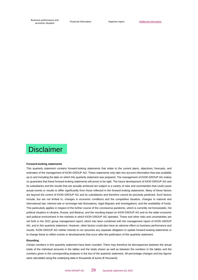[Business performance and](#page-3-0) iness performance and<br>[economic situation](#page-3-0) **[Financial information](#page-19-0)**<br>economic situation

## **Disclaimer**

#### **Forward-looking statements**

This quarterly statement contains forward-looking statements that relate to the current plans, objectives, forecasts, and estimates of the management of KION GROUP AG. These statements only take into account information that was available up to and including the date on which this quarterly statement was prepared. The management of KION GROUP AG makes no guarantee that these forward-looking statements will prove to be right. The future development of KION GROUP AG and its subsidiaries and the results that are actually achieved are subject to a variety of risks and uncertainties that could cause actual events or results to differ significantly from those reflected in the forward-looking statements. Many of these factors are beyond the control of KION GROUP AG and its subsidiaries and therefore cannot be precisely predicted. Such factors include, but are not limited to, changes in economic conditions and the competitive situation, changes in national and international law, interest-rate or exchange-rate fluctuations, legal disputes and investigations, and the availability of funds. This particularly applies in respect of the further course of the coronavirus pandemic, which is currently not foreseeable, the political situation in Ukraine, Russia, and Belarus, and the resulting impact on KION GROUP AG and on the wider economic and political environment in the markets in which KION GROUP AG operates. These and other risks and uncertainties are set forth in the 2021 group management report, which has been combined with the management report of KION GROUP AG, and in this quarterly statement. However, other factors could also have an adverse effect on business performance and results. KION GROUP AG neither intends to nor assumes any separate obligation to update forward-looking statements or to change these to reflect events or developments that occur after the publication of this quarterly statement.

#### **Rounding**

Certain numbers in this quarterly statement have been rounded. There may therefore be discrepancies between the actual totals of the individual amounts in the tables and the totals shown as well as between the numbers in the tables and the numbers given in the corresponding analyses in the text of the quarterly statement. All percentage changes and key figures were calculated using the underlying data in thousands of euros (€ thousand).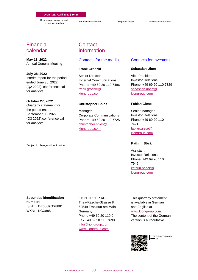**Draft | 26. April 2022 | 16:26**

[Business performance and](#page-3-0) iness performance and<br>[economic situation](#page-3-0) **[Financial information](#page-19-0)** [Segment report](#page-25-0) **[Additional information](#page-27-0)** 

### Financial calendar

**May 11, 2022**  Annual General Meeting

**July 28, 2022**  Interim report for the period ended June 30, 2022 (Q2 2022), conference call for analysts

#### **October 27, 2022**

Quarterly statement for the period ended September 30, 2022 (Q3 2022),conference call for analysts

Subject to change without notice

### **Contact** information

#### Contacts for the media

#### **Frank Grodzki**

Senior Director External Communications Phone: +49 69 20 110 7496 [frank.grodzki@](mailto:frank.grodzki@kiongroup.com) [kiongroup.com](mailto:frank.grodzki@kiongroup.com)

#### **Christopher Spies**

Manager Corporate Communications Phone: +49 69 20 110 7725 [christopher.spies@](mailto:christopher.spies@kiongroup.com) [kiongroup.com](mailto:christopher.spies@kiongroup.com)

#### Contacts for investors

#### **Sebastian Ubert**

Vice President Investor Relations Phone: +49 69 20 110 7329 [sebastian.ubert@](mailto:sebastian.ubert@kiongroup.com) [kiongroup.com](mailto:sebastian.ubert@kiongroup.com)

#### **Fabian Giese**

Senior Manager Investor Relations Phone: +49 69 20 110 7491 [fabian.giese@](mailto:fabian.giese@kiongroup.com) [kiongroup.com](mailto:fabian.giese@kiongroup.com)

#### **Kathrin Böck**

Assistant Investor Relations Phone: +49 69 20 110 7946 [kathrin.boeck@](mailto:kathrin.boeck@kiongroup.com) [kiongroup.com](mailto:kathrin.boeck@kiongroup.com)

#### **Securities identification numbers** ISIN: DE000KGX8881 WKN: KGX888

KION GROUP AG Thea-Rasche-Strasse 8 60549 Frankfurt am Main Germany Phone +49 69 20 110 0 Fax +49 69 20 110 7690 [info@kiongroup.com](mailto:info@kiongroup.com) [www.kiongroup.com](https://www.kiongroup.com/en)

This quarterly statement is available in German and English at

#### www.kiongroup.com.

The content of the German version is authoritative.